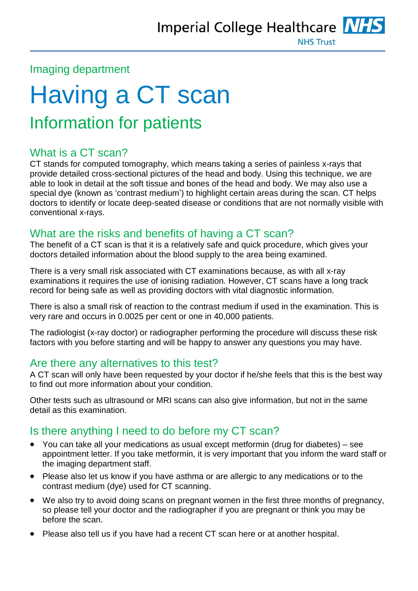

#### Imaging department

# Having a CT scan Information for patients

# What is a CT scan?

CT stands for computed tomography, which means taking a series of painless x-rays that provide detailed cross-sectional pictures of the head and body. Using this technique, we are able to look in detail at the soft tissue and bones of the head and body. We may also use a special dye (known as 'contrast medium') to highlight certain areas during the scan. CT helps doctors to identify or locate deep-seated disease or conditions that are not normally visible with conventional x-rays.

## What are the risks and benefits of having a CT scan?

The benefit of a CT scan is that it is a relatively safe and quick procedure, which gives your doctors detailed information about the blood supply to the area being examined.

There is a very small risk associated with CT examinations because, as with all x-ray examinations it requires the use of ionising radiation. However, CT scans have a long track record for being safe as well as providing doctors with vital diagnostic information.

There is also a small risk of reaction to the contrast medium if used in the examination. This is very rare and occurs in 0.0025 per cent or one in 40,000 patients.

The radiologist (x-ray doctor) or radiographer performing the procedure will discuss these risk factors with you before starting and will be happy to answer any questions you may have.

## Are there any alternatives to this test?

A CT scan will only have been requested by your doctor if he/she feels that this is the best way to find out more information about your condition.

Other tests such as ultrasound or MRI scans can also give information, but not in the same detail as this examination.

## Is there anything I need to do before my CT scan?

- You can take all your medications as usual except metformin (drug for diabetes) see appointment letter. If you take metformin, it is very important that you inform the ward staff or the imaging department staff.
- Please also let us know if you have asthma or are allergic to any medications or to the contrast medium (dye) used for CT scanning.
- We also try to avoid doing scans on pregnant women in the first three months of pregnancy, so please tell your doctor and the radiographer if you are pregnant or think you may be before the scan.
- Please also tell us if you have had a recent CT scan here or at another hospital.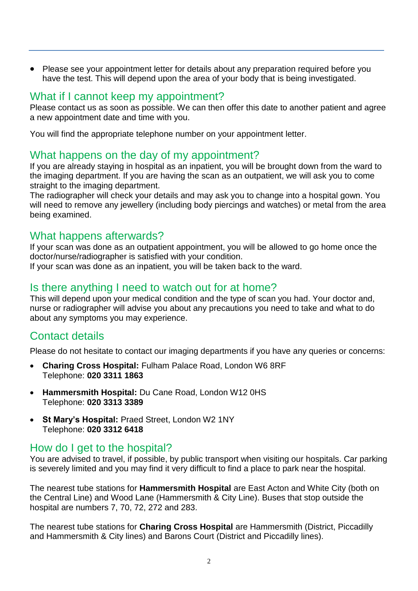Please see your appointment letter for details about any preparation required before you have the test. This will depend upon the area of your body that is being investigated.

#### What if I cannot keep my appointment?

Please contact us as soon as possible. We can then offer this date to another patient and agree a new appointment date and time with you.

You will find the appropriate telephone number on your appointment letter.

#### What happens on the day of my appointment?

If you are already staying in hospital as an inpatient, you will be brought down from the ward to the imaging department. If you are having the scan as an outpatient, we will ask you to come straight to the imaging department.

The radiographer will check your details and may ask you to change into a hospital gown. You will need to remove any jewellery (including body piercings and watches) or metal from the area being examined.

#### What happens afterwards?

If your scan was done as an outpatient appointment, you will be allowed to go home once the doctor/nurse/radiographer is satisfied with your condition.

If your scan was done as an inpatient, you will be taken back to the ward.

## Is there anything I need to watch out for at home?

This will depend upon your medical condition and the type of scan you had. Your doctor and, nurse or radiographer will advise you about any precautions you need to take and what to do about any symptoms you may experience.

## Contact details

Please do not hesitate to contact our imaging departments if you have any queries or concerns:

- **Charing Cross Hospital:** Fulham Palace Road, London W6 8RF Telephone: **020 3311 1863**
- **Hammersmith Hospital:** Du Cane Road, London W12 0HS Telephone: **020 3313 3389**
- **St Mary's Hospital:** Praed Street, London W2 1NY Telephone: **020 3312 6418**

## How do I get to the hospital?

You are advised to travel, if possible, by public transport when visiting our hospitals. Car parking is severely limited and you may find it very difficult to find a place to park near the hospital.

The nearest tube stations for **Hammersmith Hospital** are East Acton and White City (both on the Central Line) and Wood Lane (Hammersmith & City Line). Buses that stop outside the hospital are numbers 7, 70, 72, 272 and 283.

The nearest tube stations for **Charing Cross Hospital** are Hammersmith (District, Piccadilly and Hammersmith & City lines) and Barons Court (District and Piccadilly lines).